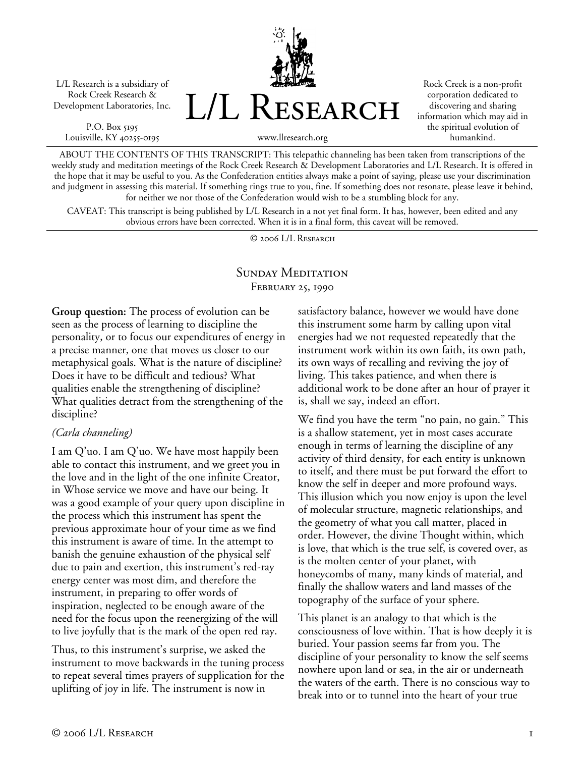L/L Research is a subsidiary of Rock Creek Research & Development Laboratories, Inc.

P.O. Box 5195 Louisville, KY 40255-0195



Rock Creek is a non-profit corporation dedicated to discovering and sharing information which may aid in the spiritual evolution of humankind.

www.llresearch.org

ABOUT THE CONTENTS OF THIS TRANSCRIPT: This telepathic channeling has been taken from transcriptions of the weekly study and meditation meetings of the Rock Creek Research & Development Laboratories and L/L Research. It is offered in the hope that it may be useful to you. As the Confederation entities always make a point of saying, please use your discrimination and judgment in assessing this material. If something rings true to you, fine. If something does not resonate, please leave it behind, for neither we nor those of the Confederation would wish to be a stumbling block for any.

CAVEAT: This transcript is being published by L/L Research in a not yet final form. It has, however, been edited and any obvious errors have been corrected. When it is in a final form, this caveat will be removed.

© 2006 L/L Research

## SUNDAY MEDITATION February 25, 1990

**Group question:** The process of evolution can be seen as the process of learning to discipline the personality, or to focus our expenditures of energy in a precise manner, one that moves us closer to our metaphysical goals. What is the nature of discipline? Does it have to be difficult and tedious? What qualities enable the strengthening of discipline? What qualities detract from the strengthening of the discipline?

### *(Carla channeling)*

I am Q'uo. I am Q'uo. We have most happily been able to contact this instrument, and we greet you in the love and in the light of the one infinite Creator, in Whose service we move and have our being. It was a good example of your query upon discipline in the process which this instrument has spent the previous approximate hour of your time as we find this instrument is aware of time. In the attempt to banish the genuine exhaustion of the physical self due to pain and exertion, this instrument's red-ray energy center was most dim, and therefore the instrument, in preparing to offer words of inspiration, neglected to be enough aware of the need for the focus upon the reenergizing of the will to live joyfully that is the mark of the open red ray.

Thus, to this instrument's surprise, we asked the instrument to move backwards in the tuning process to repeat several times prayers of supplication for the uplifting of joy in life. The instrument is now in

satisfactory balance, however we would have done this instrument some harm by calling upon vital energies had we not requested repeatedly that the instrument work within its own faith, its own path, its own ways of recalling and reviving the joy of living. This takes patience, and when there is additional work to be done after an hour of prayer it is, shall we say, indeed an effort.

We find you have the term "no pain, no gain." This is a shallow statement, yet in most cases accurate enough in terms of learning the discipline of any activity of third density, for each entity is unknown to itself, and there must be put forward the effort to know the self in deeper and more profound ways. This illusion which you now enjoy is upon the level of molecular structure, magnetic relationships, and the geometry of what you call matter, placed in order. However, the divine Thought within, which is love, that which is the true self, is covered over, as is the molten center of your planet, with honeycombs of many, many kinds of material, and finally the shallow waters and land masses of the topography of the surface of your sphere.

This planet is an analogy to that which is the consciousness of love within. That is how deeply it is buried. Your passion seems far from you. The discipline of your personality to know the self seems nowhere upon land or sea, in the air or underneath the waters of the earth. There is no conscious way to break into or to tunnel into the heart of your true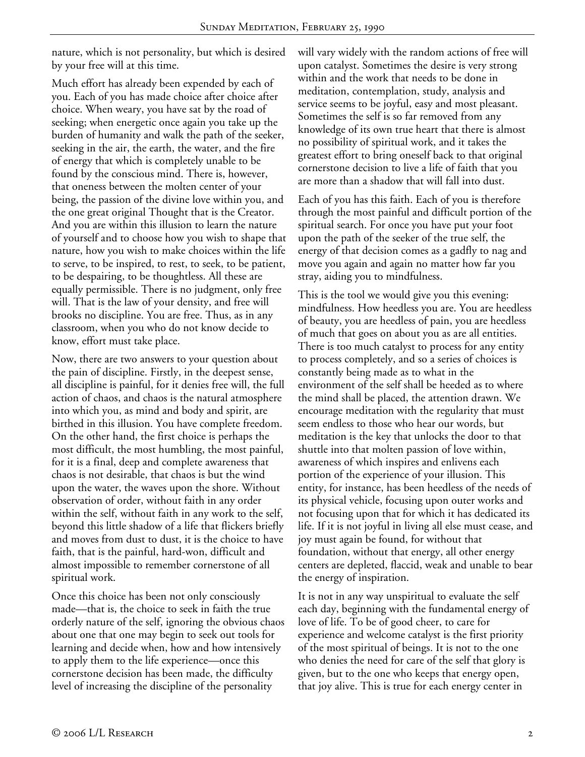nature, which is not personality, but which is desired by your free will at this time.

Much effort has already been expended by each of you. Each of you has made choice after choice after choice. When weary, you have sat by the road of seeking; when energetic once again you take up the burden of humanity and walk the path of the seeker, seeking in the air, the earth, the water, and the fire of energy that which is completely unable to be found by the conscious mind. There is, however, that oneness between the molten center of your being, the passion of the divine love within you, and the one great original Thought that is the Creator. And you are within this illusion to learn the nature of yourself and to choose how you wish to shape that nature, how you wish to make choices within the life to serve, to be inspired, to rest, to seek, to be patient, to be despairing, to be thoughtless. All these are equally permissible. There is no judgment, only free will. That is the law of your density, and free will brooks no discipline. You are free. Thus, as in any classroom, when you who do not know decide to know, effort must take place.

Now, there are two answers to your question about the pain of discipline. Firstly, in the deepest sense, all discipline is painful, for it denies free will, the full action of chaos, and chaos is the natural atmosphere into which you, as mind and body and spirit, are birthed in this illusion. You have complete freedom. On the other hand, the first choice is perhaps the most difficult, the most humbling, the most painful, for it is a final, deep and complete awareness that chaos is not desirable, that chaos is but the wind upon the water, the waves upon the shore. Without observation of order, without faith in any order within the self, without faith in any work to the self, beyond this little shadow of a life that flickers briefly and moves from dust to dust, it is the choice to have faith, that is the painful, hard-won, difficult and almost impossible to remember cornerstone of all spiritual work.

Once this choice has been not only consciously made—that is, the choice to seek in faith the true orderly nature of the self, ignoring the obvious chaos about one that one may begin to seek out tools for learning and decide when, how and how intensively to apply them to the life experience—once this cornerstone decision has been made, the difficulty level of increasing the discipline of the personality

will vary widely with the random actions of free will upon catalyst. Sometimes the desire is very strong within and the work that needs to be done in meditation, contemplation, study, analysis and service seems to be joyful, easy and most pleasant. Sometimes the self is so far removed from any knowledge of its own true heart that there is almost no possibility of spiritual work, and it takes the greatest effort to bring oneself back to that original cornerstone decision to live a life of faith that you are more than a shadow that will fall into dust.

Each of you has this faith. Each of you is therefore through the most painful and difficult portion of the spiritual search. For once you have put your foot upon the path of the seeker of the true self, the energy of that decision comes as a gadfly to nag and move you again and again no matter how far you stray, aiding you to mindfulness.

This is the tool we would give you this evening: mindfulness. How heedless you are. You are heedless of beauty, you are heedless of pain, you are heedless of much that goes on about you as are all entities. There is too much catalyst to process for any entity to process completely, and so a series of choices is constantly being made as to what in the environment of the self shall be heeded as to where the mind shall be placed, the attention drawn. We encourage meditation with the regularity that must seem endless to those who hear our words, but meditation is the key that unlocks the door to that shuttle into that molten passion of love within, awareness of which inspires and enlivens each portion of the experience of your illusion. This entity, for instance, has been heedless of the needs of its physical vehicle, focusing upon outer works and not focusing upon that for which it has dedicated its life. If it is not joyful in living all else must cease, and joy must again be found, for without that foundation, without that energy, all other energy centers are depleted, flaccid, weak and unable to bear the energy of inspiration.

It is not in any way unspiritual to evaluate the self each day, beginning with the fundamental energy of love of life. To be of good cheer, to care for experience and welcome catalyst is the first priority of the most spiritual of beings. It is not to the one who denies the need for care of the self that glory is given, but to the one who keeps that energy open, that joy alive. This is true for each energy center in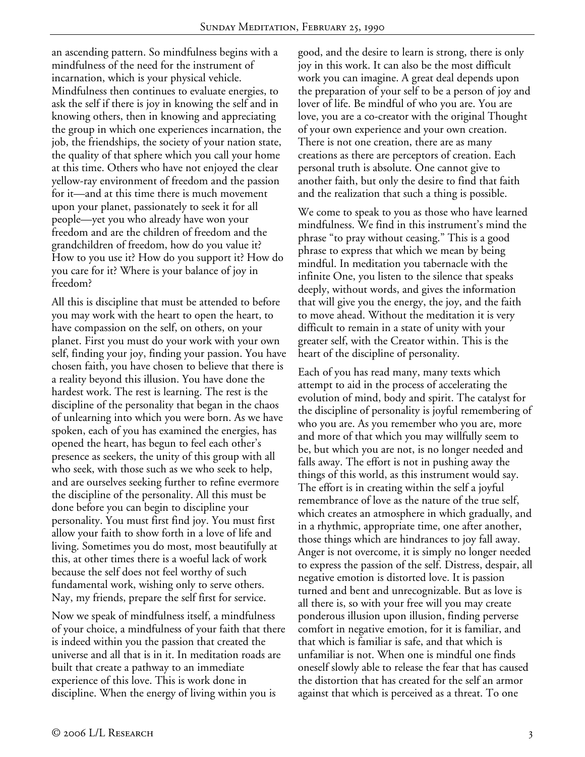an ascending pattern. So mindfulness begins with a mindfulness of the need for the instrument of incarnation, which is your physical vehicle. Mindfulness then continues to evaluate energies, to ask the self if there is joy in knowing the self and in knowing others, then in knowing and appreciating the group in which one experiences incarnation, the job, the friendships, the society of your nation state, the quality of that sphere which you call your home at this time. Others who have not enjoyed the clear yellow-ray environment of freedom and the passion for it—and at this time there is much movement upon your planet, passionately to seek it for all people—yet you who already have won your freedom and are the children of freedom and the grandchildren of freedom, how do you value it? How to you use it? How do you support it? How do you care for it? Where is your balance of joy in freedom?

All this is discipline that must be attended to before you may work with the heart to open the heart, to have compassion on the self, on others, on your planet. First you must do your work with your own self, finding your joy, finding your passion. You have chosen faith, you have chosen to believe that there is a reality beyond this illusion. You have done the hardest work. The rest is learning. The rest is the discipline of the personality that began in the chaos of unlearning into which you were born. As we have spoken, each of you has examined the energies, has opened the heart, has begun to feel each other's presence as seekers, the unity of this group with all who seek, with those such as we who seek to help, and are ourselves seeking further to refine evermore the discipline of the personality. All this must be done before you can begin to discipline your personality. You must first find joy. You must first allow your faith to show forth in a love of life and living. Sometimes you do most, most beautifully at this, at other times there is a woeful lack of work because the self does not feel worthy of such fundamental work, wishing only to serve others. Nay, my friends, prepare the self first for service.

Now we speak of mindfulness itself, a mindfulness of your choice, a mindfulness of your faith that there is indeed within you the passion that created the universe and all that is in it. In meditation roads are built that create a pathway to an immediate experience of this love. This is work done in discipline. When the energy of living within you is

good, and the desire to learn is strong, there is only joy in this work. It can also be the most difficult work you can imagine. A great deal depends upon the preparation of your self to be a person of joy and lover of life. Be mindful of who you are. You are love, you are a co-creator with the original Thought of your own experience and your own creation. There is not one creation, there are as many creations as there are perceptors of creation. Each personal truth is absolute. One cannot give to another faith, but only the desire to find that faith and the realization that such a thing is possible.

We come to speak to you as those who have learned mindfulness. We find in this instrument's mind the phrase "to pray without ceasing." This is a good phrase to express that which we mean by being mindful. In meditation you tabernacle with the infinite One, you listen to the silence that speaks deeply, without words, and gives the information that will give you the energy, the joy, and the faith to move ahead. Without the meditation it is very difficult to remain in a state of unity with your greater self, with the Creator within. This is the heart of the discipline of personality.

Each of you has read many, many texts which attempt to aid in the process of accelerating the evolution of mind, body and spirit. The catalyst for the discipline of personality is joyful remembering of who you are. As you remember who you are, more and more of that which you may willfully seem to be, but which you are not, is no longer needed and falls away. The effort is not in pushing away the things of this world, as this instrument would say. The effort is in creating within the self a joyful remembrance of love as the nature of the true self, which creates an atmosphere in which gradually, and in a rhythmic, appropriate time, one after another, those things which are hindrances to joy fall away. Anger is not overcome, it is simply no longer needed to express the passion of the self. Distress, despair, all negative emotion is distorted love. It is passion turned and bent and unrecognizable. But as love is all there is, so with your free will you may create ponderous illusion upon illusion, finding perverse comfort in negative emotion, for it is familiar, and that which is familiar is safe, and that which is unfamiliar is not. When one is mindful one finds oneself slowly able to release the fear that has caused the distortion that has created for the self an armor against that which is perceived as a threat. To one